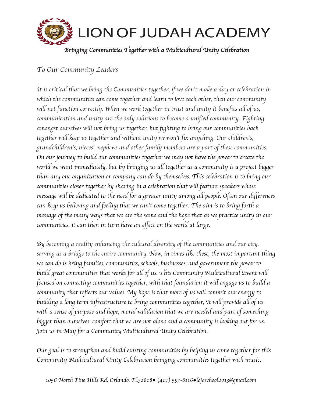

## *To Our Community Leaders*

*It is critical that we bring the Communities together, if we don*'*t make a day or celebration in which the communities can come together and learn to love each other, then our community will not function correctly. When we work together in trust and unity it benefits all of us, communication and unity are the only solutions to become a unified community. Fighting amongst ourselves will not bring us together, but fighting to bring our communities back together will keep us together and without unity we won*'*t fix anything. Our children*'*s, grandchildren*'*s, nieces*'*, nephews and other family members are a part of these communities. On our journey to build our communities together we may not have the power to create the world we want immediately, but by bringing us all together as a community is a project bigger than any one organization or company can do by themselves. This celebration is to bring our communities closer together by sharing in a celebration that will feature speakers whose message will be dedicated to the need for a greater unity among all people. Often our differences can keep us believing and feeling that we can*'*t come together. The aim is to bring forth a message of the many ways that we are the same and the hope that as we practice unity in our communities, it can then in turn have an effect on the world at large.*

*By becoming a reality enhancing the cultural diversity of the communities and our city, serving as a bridge to the entire community. Now, in times like these, the most important thing we can do is bring families, communities, schools, businesses, and government the power to build great communities that works for all of us. This Community Multicultural Event will focused on connecting communities together, with that foundation it will engage us to build a community that reflects our values. My hope is that more of us will commit our energy to building a long term infrastructure to bring communities together, It will provide all of us*  with a sense of purpose and hope; moral validation that we are needed and part of something *bigger than ourselves; comfort that we are not alone and a community is looking out for us. Join us in May for a Community Multicultural Unity Celebration.* 

*Our goal is to strengthen and build existing communities by helping us come together for this Community Multicultural Unity Celebration bringing communities together with music,*